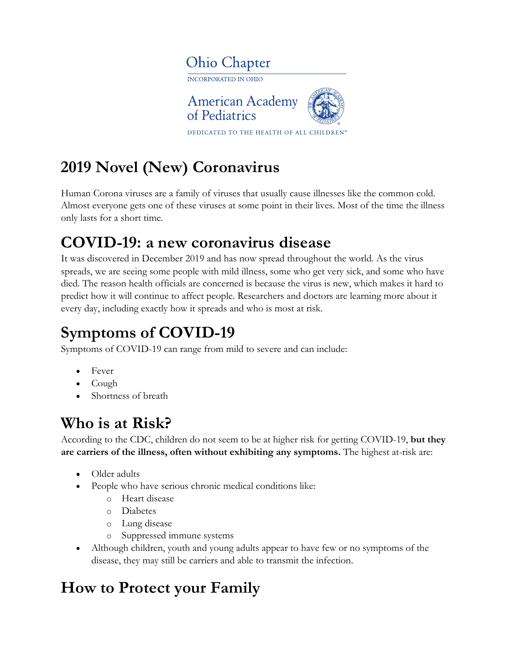

# **2019 Novel (New) Coronavirus**

Human Corona viruses are a family of viruses that usually cause illnesses like the common cold. Almost everyone gets one of these viruses at some point in their lives. Most of the time the illness only lasts for a short time.

#### **COVID-19: a new coronavirus disease**

It was discovered in December 2019 and has now spread throughout the world. As the virus spreads, we are seeing some people with mild illness, some who get very sick, and some who have died. The reason health officials are concerned is because the virus is new, which makes it hard to predict how it will continue to affect people. Researchers and doctors are learning more about it every day, including exactly how it spreads and who is most at risk.

# **Symptoms of COVID-19**

Symptoms of COVID-19 can range from mild to severe and can include:

- Fever
- Cough
- Shortness of breath

### **Who is at Risk?**

According to the CDC, children do not seem to be at higher risk for getting COVID-19, **but they are carriers of the illness, often without exhibiting any symptoms.** The highest at-risk are:

- Older adults
- People who have serious chronic medical conditions like:
	- o Heart disease
	- o Diabetes
	- o Lung disease
	- o Suppressed immune systems
- Although children, youth and young adults appear to have few or no symptoms of the disease, they may still be carriers and able to transmit the infection.

### **How to Protect your Family**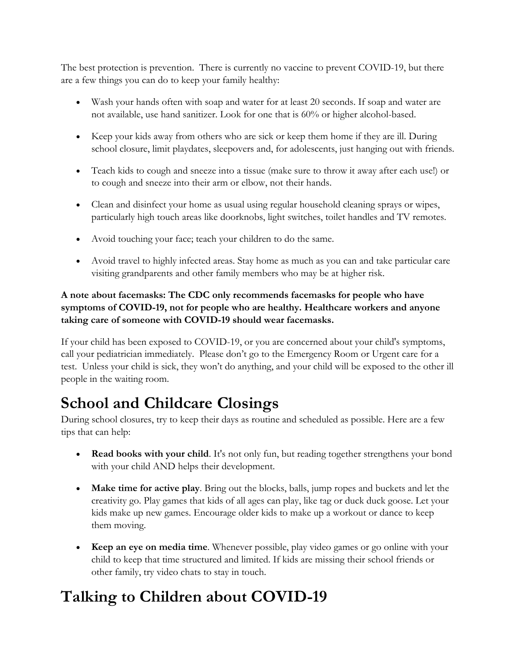The best protection is prevention. There is currently no vaccine to prevent COVID-19, but there are a few things you can do to keep your family healthy:

- Wash your hands often with soap and water for at least 20 seconds. If soap and water are not available, use hand sanitizer. Look for one that is 60% or higher alcohol-based.
- Keep your kids away from others who are sick or keep them home if they are ill. During school closure, limit playdates, sleepovers and, for adolescents, just hanging out with friends.
- Teach kids to cough and sneeze into a tissue (make sure to throw it away after each use!) or to cough and sneeze into their arm or elbow, not their hands.
- Clean and disinfect your home as usual using regular household cleaning sprays or wipes, particularly high touch areas like doorknobs, light switches, toilet handles and TV remotes.
- Avoid touching your face; teach your children to do the same.
- Avoid travel to highly infected areas. Stay home as much as you can and take particular care visiting grandparents and other family members who may be at higher risk.

#### **A note about facemasks: The CDC only recommends facemasks for people who have symptoms of COVID-19, not for people who are healthy. Healthcare workers and anyone taking care of someone with COVID-19 should wear facemasks.**

If your child has been exposed to COVID-19, or you are concerned about your child's symptoms, call your pediatrician immediately. Please don't go to the Emergency Room or Urgent care for a test. Unless your child is sick, they won't do anything, and your child will be exposed to the other ill people in the waiting room.

### **School and Childcare Closings**

During school closures, try to keep their days as routine and scheduled as possible. Here are a few tips that can help:

- **Read books with your child**. It's not only fun, but reading together strengthens your bond with your child AND helps their development.
- **Make time for active play**. Bring out the blocks, balls, jump ropes and buckets and let the creativity go. Play games that kids of all ages can play, like tag or duck duck goose. Let your kids make up new games. Encourage older kids to make up a workout or dance to keep them moving.
- **Keep an eye on media time**. Whenever possible, play video games or go online with your child to keep that time structured and limited. If kids are missing their school friends or other family, try video chats to stay in touch.

## **Talking to Children about COVID-19**